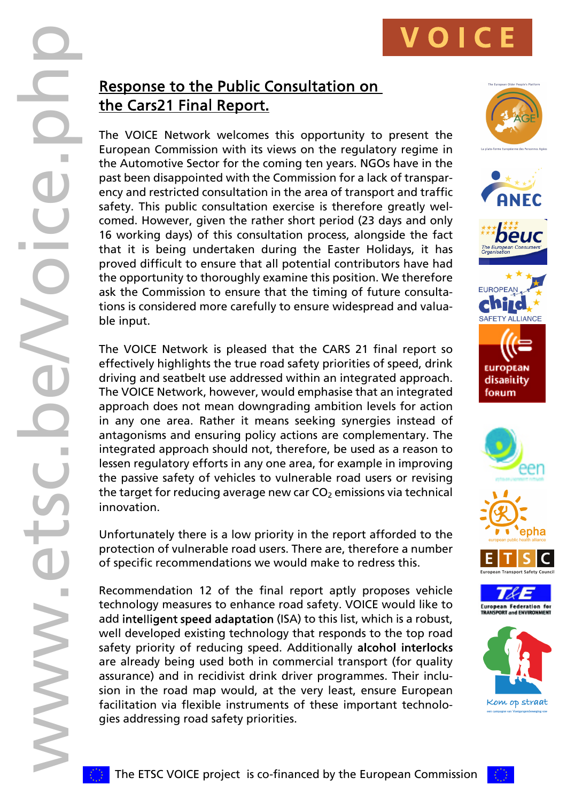WWW.Etch<br>
Control of the driver of the driver describe in a dad d well<br>
and describe the driver in a describe in the driver of street<br>
and describe the driver in a described well<br>
are driver tech driver of street<br>
and safe The VOICE Network welcomes this opportunity to present the European Commission with its views on the regulatory regime in the Automotive Sector for the coming ten years. NGOs have in the past been disappointed with the Commission for a lack of transpar ency and restricted consultation in the area of transport and traffic safety. This public consultation exercise is therefore greatly wel comed. However, given the rather short period (23 days and only 16 working days) of this consultation process, alongside the fact that it is being undertaken during the Easter Holidays, it has proved difficult to ensure that all potential contributors have had the opportunity to thoroughly examine this position. We therefore ask the Commission to ensure that the timing of future consulta tions is considered more carefully to ensure widespread and valua ble input.

The VOICE Network is pleased that the CARS 21 final report so effectively highlights the true road safety priorities of speed, drink driving and seatbelt use addressed within an integrated approach. The VOICE Network, however, would emphasise that an integrated approach does not mean downgrading ambition levels for action in any one area. Rather it means seeking synergies instead of antagonisms and ensuring policy actions are complementary. The integrated approach should not, therefore, be used as a reason to lessen regulatory efforts in any one area, for example in improving the passive safety of vehicles to vulnerable road users or revising the target for reducing average new car  $CO<sub>2</sub>$  emissions via technical innovation.

Unfortunately there is a low priority in the report afforded to the protection of vulnerable road users. There are, therefore a number of specific recommendations we would make to redress this.

Recommendation 12 of the final report aptly proposes vehicle technology measures to enhance road safety. VOICE would like to add intelligent speed adaptation (ISA) to this list, which is a robust, well developed existing technology that responds to the top road safety priority of reducing speed. Additionally alcohol interlocks are already being used both in commercial transport (for quality assurance) and in recidivist drink driver programmes. Their inclu sion in the road map would, at the very least, ensure European facilitation via flexible instruments of these important technolo gies addressing road safety priorities.

NNNNN